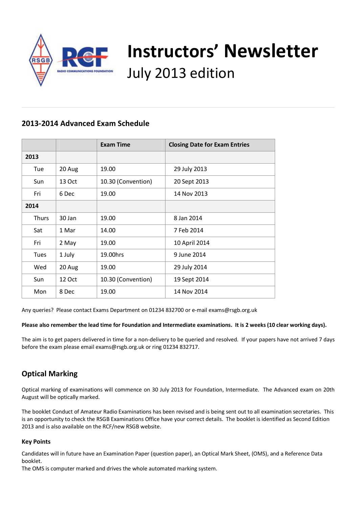

# **Instructors' Newsletter** July 2013 edition

## **2013-2014 Advanced Exam Schedule**

|             |        | <b>Exam Time</b>   | <b>Closing Date for Exam Entries</b> |  |  |  |  |
|-------------|--------|--------------------|--------------------------------------|--|--|--|--|
| 2013        |        |                    |                                      |  |  |  |  |
| Tue         | 20 Aug | 19.00              | 29 July 2013                         |  |  |  |  |
| Sun         | 13 Oct | 10.30 (Convention) | 20 Sept 2013                         |  |  |  |  |
| Fri         | 6 Dec  | 19.00              | 14 Nov 2013                          |  |  |  |  |
| 2014        |        |                    |                                      |  |  |  |  |
| Thurs       | 30 Jan | 19.00              | 8 Jan 2014                           |  |  |  |  |
| Sat         | 1 Mar  | 14.00              | 7 Feb 2014                           |  |  |  |  |
| Fri         | 2 May  | 19.00              | 10 April 2014                        |  |  |  |  |
| <b>Tues</b> | 1 July | 19.00hrs           | 9 June 2014                          |  |  |  |  |
| Wed         | 20 Aug | 19.00              | 29 July 2014                         |  |  |  |  |
| Sun         | 12 Oct | 10.30 (Convention) | 19 Sept 2014                         |  |  |  |  |
| Mon         | 8 Dec  | 19.00              | 14 Nov 2014                          |  |  |  |  |

Any queries? Please contact Exams Department on 01234 832700 or e-mail exams@rsgb.org.uk

**Please also remember the lead time for Foundation and Intermediate examinations. It is 2 weeks (10 clear working days).**

The aim is to get papers delivered in time for a non-delivery to be queried and resolved. If your papers have not arrived 7 days before the exam please email exams@rsgb.org.uk or ring 01234 832717.

# **Optical Marking**

Optical marking of examinations will commence on 30 July 2013 for Foundation, Intermediate. The Advanced exam on 20th August will be optically marked.

The booklet Conduct of Amateur Radio Examinations has been revised and is being sent out to all examination secretaries. This is an opportunity to check the RSGB Examinations Office have your correct details. The booklet is identified as Second Edition 2013 and is also available on the RCF/new RSGB website.

### **Key Points**

Candidates will in future have an Examination Paper (question paper), an Optical Mark Sheet, (OMS), and a Reference Data booklet.

The OMS is computer marked and drives the whole automated marking system.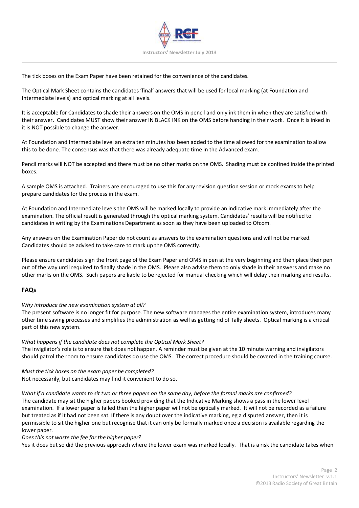

The tick boxes on the Exam Paper have been retained for the convenience of the candidates.

The Optical Mark Sheet contains the candidates 'final' answers that will be used for local marking (at Foundation and Intermediate levels) and optical marking at all levels.

It is acceptable for Candidates to shade their answers on the OMS in pencil and only ink them in when they are satisfied with their answer. Candidates MUST show their answer IN BLACK INK on the OMS before handing in their work. Once it is inked in it is NOT possible to change the answer.

At Foundation and Intermediate level an extra ten minutes has been added to the time allowed for the examination to allow this to be done. The consensus was that there was already adequate time in the Advanced exam.

Pencil marks will NOT be accepted and there must be no other marks on the OMS. Shading must be confined inside the printed boxes.

A sample OMS is attached. Trainers are encouraged to use this for any revision question session or mock exams to help prepare candidates for the process in the exam.

At Foundation and Intermediate levels the OMS will be marked locally to provide an indicative mark immediately after the examination. The official result is generated through the optical marking system. Candidates' results will be notified to candidates in writing by the Examinations Department as soon as they have been uploaded to Ofcom.

Any answers on the Examination Paper do not count as answers to the examination questions and will not be marked. Candidates should be advised to take care to mark up the OMS correctly.

Please ensure candidates sign the front page of the Exam Paper and OMS in pen at the very beginning and then place their pen out of the way until required to finally shade in the OMS. Please also advise them to only shade in their answers and make no other marks on the OMS. Such papers are liable to be rejected for manual checking which will delay their marking and results.

#### **FAQs**

#### *Why introduce the new examination system at all?*

The present software is no longer fit for purpose. The new software manages the entire examination system, introduces many other time saving processes and simplifies the administration as well as getting rid of Tally sheets. Optical marking is a critical part of this new system.

#### *What happens if the candidate does not complete the Optical Mark Sheet?*

The invigilator's role is to ensure that does not happen. A reminder must be given at the 10 minute warning and invigilators should patrol the room to ensure candidates do use the OMS. The correct procedure should be covered in the training course.

*Must the tick boxes on the exam paper be completed?* Not necessarily, but candidates may find it convenient to do so.

*What if a candidate wants to sit two or three papers on the same day, before the formal marks are confirmed?*

The candidate may sit the higher papers booked providing that the Indicative Marking shows a pass in the lower level examination. If a lower paper is failed then the higher paper will not be optically marked. It will not be recorded as a failure but treated as if it had not been sat. If there is any doubt over the indicative marking, eg a disputed answer, then it is permissible to sit the higher one but recognise that it can only be formally marked once a decision is available regarding the lower paper.

#### *Does this not waste the fee for the higher paper?*

Yes it does but so did the previous approach where the lower exam was marked locally. That is a risk the candidate takes when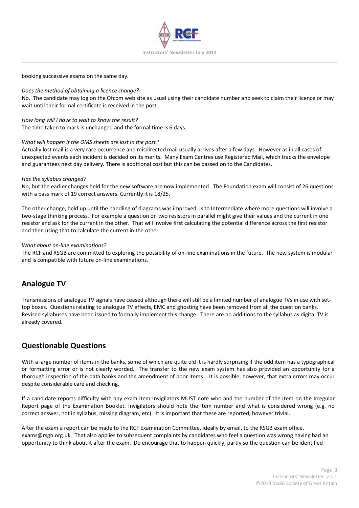

booking successive exams on the same day.

#### *Does the method of obtaining a licence change?*

No. The candidate may log on the Ofcom web site as usual using their candidate number and seek to claim their licence or may wait until their formal certificate is received in the post.

*How long will I have to wait to know the result?* The time taken to mark is unchanged and the formal time is 6 days.

#### *What will happen if the OMS sheets are lost in the post?*

Actually lost mail is a very rare occurrence and misdirected mail usually arrives after a few days. However as in all cases of unexpected events each incident is decided on its merits. Many Exam Centres use Registered Mail, which tracks the envelope and guarantees next day delivery. There is additional cost but this can be passed on to the Candidates.

#### *Has the syllabus changed?*

No, but the earlier changes held for the new software are now implemented. The Foundation exam will consist of 26 questions with a pass mark of 19 correct answers. Currently it is 18/25.

The other change, held up until the handling of diagrams was improved, is to Intermediate where more questions will involve a two-stage thinking process. For example a question on two resistors in parallel might give their values and the current in one resistor and ask for the current in the other. That will involve first calculating the potential difference across the first resistor and then using that to calculate the current in the other.

#### *What about on-line examinations?*

The RCF and RSGB are committed to exploring the possibility of on-line examinations in the future. The new system is modular and is compatible with future on-line examinations.

## **Analogue TV**

Transmissions of analogue TV signals have ceased although there will still be a limited number of analogue TVs in use with settop boxes. Questions relating to analogue TV effects, EMC and ghosting have been removed from all the question banks. Revised syllabuses have been issued to formally implement this change. There are no additions to the syllabus as digital TV is already covered.

## **Questionable Questions**

With a large number of items in the banks, some of which are quite old it is hardly surprising if the odd item has a typographical or formatting error or is not clearly worded. The transfer to the new exam system has also provided an opportunity for a thorough inspection of the data banks and the amendment of poor items. It is possible, however, that extra errors may occur despite considerable care and checking.

If a candidate reports difficulty with any exam item Invigilators MUST note who and the number of the item on the Irregular Report page of the Examination Booklet. Invigilators should note the item number and what is considered wrong (e.g. no correct answer, not in syllabus, missing diagram, etc). It is important that these are reported, however trivial.

After the exam a report can be made to the RCF Examination Committee, ideally by email, to the RSGB exam office, exams@rsgb.org.uk. That also applies to subsequent complaints by candidates who feel a question was wrong having had an opportunity to think about it after the exam. Do encourage that to happen quickly, partly so the question can be identified